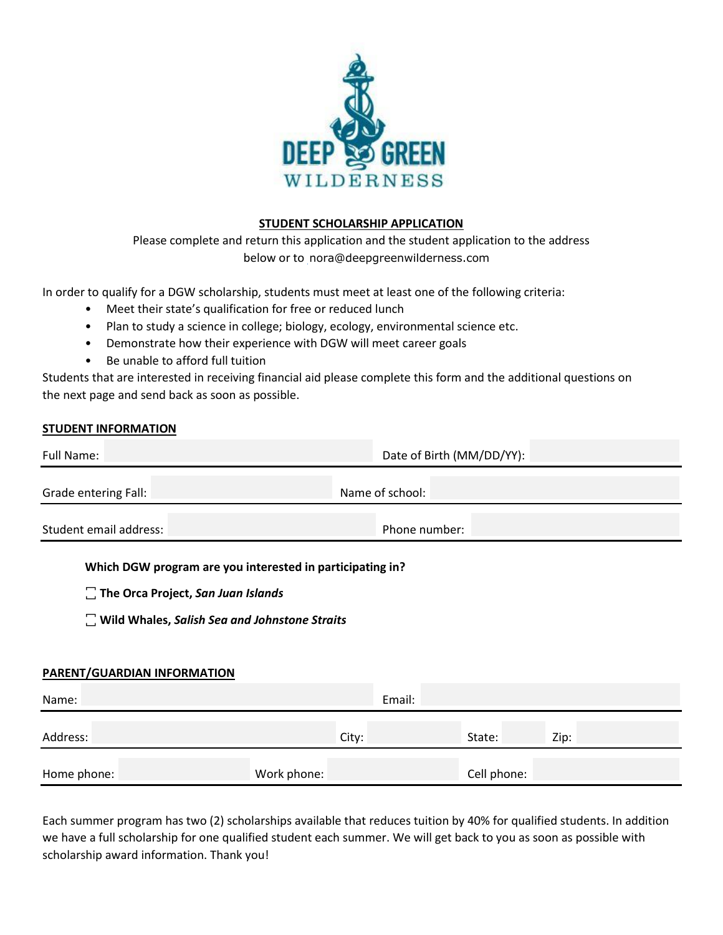

## **STUDENT SCHOLARSHIP APPLICATION**

Please complete and return this application and the student application to the address below or to nora@deepgreenwilderness.com

In order to qualify for a DGW scholarship, students must meet at least one of the following criteria:

- Meet their state's qualification for free or reduced lunch
- Plan to study a science in college; biology, ecology, environmental science etc.
- Demonstrate how their experience with DGW will meet career goals
- Be unable to afford full tuition

Students that are interested in receiving financial aid please complete this form and the additional questions on the next page and send back as soon as possible.

## **STUDENT INFORMATION**

| Full Name:             | Date of Birth (MM/DD/YY): |  |  |
|------------------------|---------------------------|--|--|
| Grade entering Fall:   | Name of school:           |  |  |
| Student email address: | Phone number:             |  |  |

## **Which DGW program are you interested in participating in?**

- $\Box$  The Orca Project, San Juan Islands
- $\Box$  Wild Whales, Salish Sea and Johnstone Straits

## **PARENT/GUARDIAN INFORMATION**

| Name:       | Email:      |             |      |
|-------------|-------------|-------------|------|
| Address:    | City:       | State:      | Zip: |
| Home phone: | Work phone: | Cell phone: |      |

Each summer program has two (2) scholarships available that reduces tuition by 40% for qualified students. In addition we have a full scholarship for one qualified student each summer. We will get back to you as soon as possible with scholarship award information. Thank you!